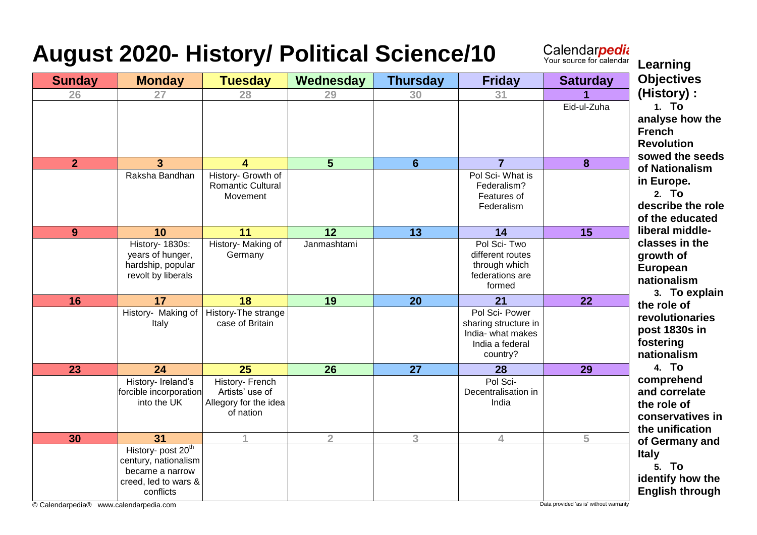## **August 2020- History/ Political Science/10**

Calendar*pedia*<br>Your source for calendar<br>Learning

| <b>Sunday</b>                | <b>Monday</b>                                                                                                                           | <b>Tuesday</b>                                                           | Wednesday      | <b>Thursday</b> | <b>Friday</b>                                                                              | <b>Saturday</b>                        | ~~~~~~<br><b>Objectives</b>                                                       |
|------------------------------|-----------------------------------------------------------------------------------------------------------------------------------------|--------------------------------------------------------------------------|----------------|-----------------|--------------------------------------------------------------------------------------------|----------------------------------------|-----------------------------------------------------------------------------------|
| 26                           | 27                                                                                                                                      | 28                                                                       | 29             | 30              | 31                                                                                         |                                        | (History):                                                                        |
|                              |                                                                                                                                         |                                                                          |                |                 |                                                                                            | Eid-ul-Zuha                            | 1. To<br>analyse how the<br><b>French</b><br><b>Revolution</b><br>sowed the seeds |
| $\overline{2}$               | 3 <sup>5</sup>                                                                                                                          | 4                                                                        | $5\phantom{1}$ | 6               | $\overline{7}$                                                                             | 8                                      | of Nationalism                                                                    |
|                              | Raksha Bandhan                                                                                                                          | History- Growth of<br><b>Romantic Cultural</b><br>Movement               |                |                 | Pol Sci-What is<br>Federalism?<br>Features of<br>Federalism                                |                                        | in Europe.<br>2. To<br>describe the role<br>of the educated                       |
| 9                            | 10                                                                                                                                      | 11                                                                       | 12             | $\overline{13}$ | 14                                                                                         | $\overline{15}$                        | liberal middle-                                                                   |
|                              | History- 1830s:<br>years of hunger,<br>hardship, popular<br>revolt by liberals                                                          | History- Making of<br>Germany                                            | Janmashtami    |                 | Pol Sci-Two<br>different routes<br>through which<br>federations are<br>formed              |                                        | classes in the<br>growth of<br>European<br>nationalism<br>3. To explain           |
| 16                           | 17                                                                                                                                      | 18                                                                       | 19             | 20              | 21                                                                                         | 22                                     | the role of                                                                       |
|                              | History- Making of<br>Italy                                                                                                             | History-The strange<br>case of Britain                                   |                |                 | Pol Sci- Power<br>sharing structure in<br>India- what makes<br>India a federal<br>country? |                                        | revolutionaries<br>post 1830s in<br>fostering<br>nationalism                      |
| 23                           | 24                                                                                                                                      | 25                                                                       | 26             | $\overline{27}$ | 28                                                                                         | 29                                     | 4. To                                                                             |
|                              | History- Ireland's<br>forcible incorporation<br>into the UK                                                                             | History- French<br>Artists' use of<br>Allegory for the idea<br>of nation |                |                 | Pol Sci-<br>Decentralisation in<br>India                                                   |                                        | comprehend<br>and correlate<br>the role of<br>conservatives in<br>the unification |
| 30                           | 31                                                                                                                                      |                                                                          | $\overline{2}$ | 3               | 4                                                                                          | 5                                      | of Germany and                                                                    |
| © Calendarpedia <sup>®</sup> | History- post 20 <sup>th</sup><br>century, nationalism<br>became a narrow<br>creed, led to wars &<br>conflicts<br>www.calendarpedia.com |                                                                          |                |                 |                                                                                            | Data provided 'as is' without warranty | <b>Italy</b><br>5. To<br>identify how the<br><b>English through</b>               |